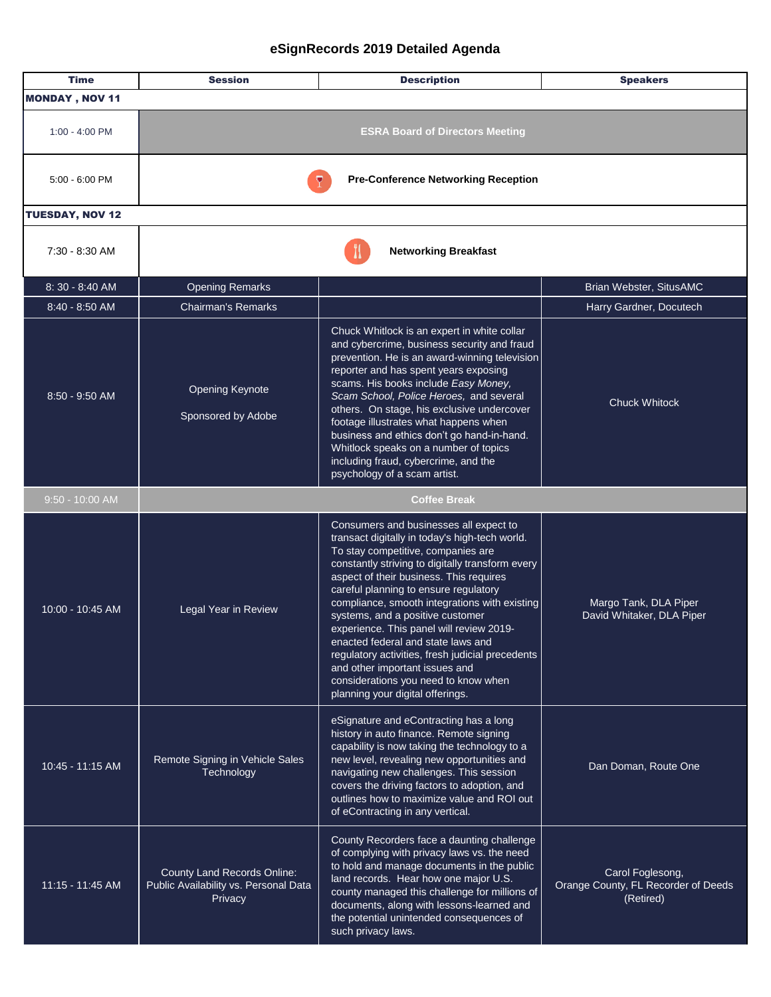| <b>Time</b>            | <b>Session</b>                                                                         | <b>Description</b>                                                                                                                                                                                                                                                                                                                                                                                                                                                                                                                                                                                              | <b>Speakers</b>                                                      |  |
|------------------------|----------------------------------------------------------------------------------------|-----------------------------------------------------------------------------------------------------------------------------------------------------------------------------------------------------------------------------------------------------------------------------------------------------------------------------------------------------------------------------------------------------------------------------------------------------------------------------------------------------------------------------------------------------------------------------------------------------------------|----------------------------------------------------------------------|--|
| <b>MONDAY, NOV 11</b>  |                                                                                        |                                                                                                                                                                                                                                                                                                                                                                                                                                                                                                                                                                                                                 |                                                                      |  |
| 1:00 - 4:00 PM         | <b>ESRA Board of Directors Meeting</b>                                                 |                                                                                                                                                                                                                                                                                                                                                                                                                                                                                                                                                                                                                 |                                                                      |  |
| $5:00 - 6:00$ PM       | <b>Pre-Conference Networking Reception</b>                                             |                                                                                                                                                                                                                                                                                                                                                                                                                                                                                                                                                                                                                 |                                                                      |  |
| <b>TUESDAY, NOV 12</b> |                                                                                        |                                                                                                                                                                                                                                                                                                                                                                                                                                                                                                                                                                                                                 |                                                                      |  |
| 7:30 - 8:30 AM         | <b>Networking Breakfast</b>                                                            |                                                                                                                                                                                                                                                                                                                                                                                                                                                                                                                                                                                                                 |                                                                      |  |
| 8:30 - 8:40 AM         | <b>Opening Remarks</b>                                                                 |                                                                                                                                                                                                                                                                                                                                                                                                                                                                                                                                                                                                                 | Brian Webster, SitusAMC                                              |  |
| $8:40 - 8:50$ AM       | <b>Chairman's Remarks</b>                                                              |                                                                                                                                                                                                                                                                                                                                                                                                                                                                                                                                                                                                                 | Harry Gardner, Docutech                                              |  |
| 8:50 - 9:50 AM         | <b>Opening Keynote</b><br>Sponsored by Adobe                                           | Chuck Whitlock is an expert in white collar<br>and cybercrime, business security and fraud<br>prevention. He is an award-winning television<br>reporter and has spent years exposing<br>scams. His books include Easy Money,<br>Scam School, Police Heroes, and several<br>others. On stage, his exclusive undercover<br>footage illustrates what happens when<br>business and ethics don't go hand-in-hand.<br>Whitlock speaks on a number of topics<br>including fraud, cybercrime, and the<br>psychology of a scam artist.                                                                                   | <b>Chuck Whitock</b>                                                 |  |
| $9:50 - 10:00$ AM      |                                                                                        | <b>Coffee Break</b>                                                                                                                                                                                                                                                                                                                                                                                                                                                                                                                                                                                             |                                                                      |  |
| 10:00 - 10:45 AM       | Legal Year in Review                                                                   | Consumers and businesses all expect to<br>transact digitally in today's high-tech world.<br>To stay competitive, companies are<br>constantly striving to digitally transform every<br>aspect of their business. This requires<br>careful planning to ensure regulatory<br>compliance, smooth integrations with existing<br>systems, and a positive customer<br>experience. This panel will review 2019-<br>enacted federal and state laws and<br>regulatory activities, fresh judicial precedents<br>and other important issues and<br>considerations you need to know when<br>planning your digital offerings. | Margo Tank, DLA Piper<br>David Whitaker, DLA Piper                   |  |
| 10:45 - 11:15 AM       | Remote Signing in Vehicle Sales<br>Technology                                          | eSignature and eContracting has a long<br>history in auto finance. Remote signing<br>capability is now taking the technology to a<br>new level, revealing new opportunities and<br>navigating new challenges. This session<br>covers the driving factors to adoption, and<br>outlines how to maximize value and ROI out<br>of eContracting in any vertical.                                                                                                                                                                                                                                                     | Dan Doman, Route One                                                 |  |
| 11:15 - 11:45 AM       | <b>County Land Records Online:</b><br>Public Availability vs. Personal Data<br>Privacy | County Recorders face a daunting challenge<br>of complying with privacy laws vs. the need<br>to hold and manage documents in the public<br>land records. Hear how one major U.S.<br>county managed this challenge for millions of<br>documents, along with lessons-learned and<br>the potential unintended consequences of<br>such privacy laws.                                                                                                                                                                                                                                                                | Carol Foglesong,<br>Orange County, FL Recorder of Deeds<br>(Retired) |  |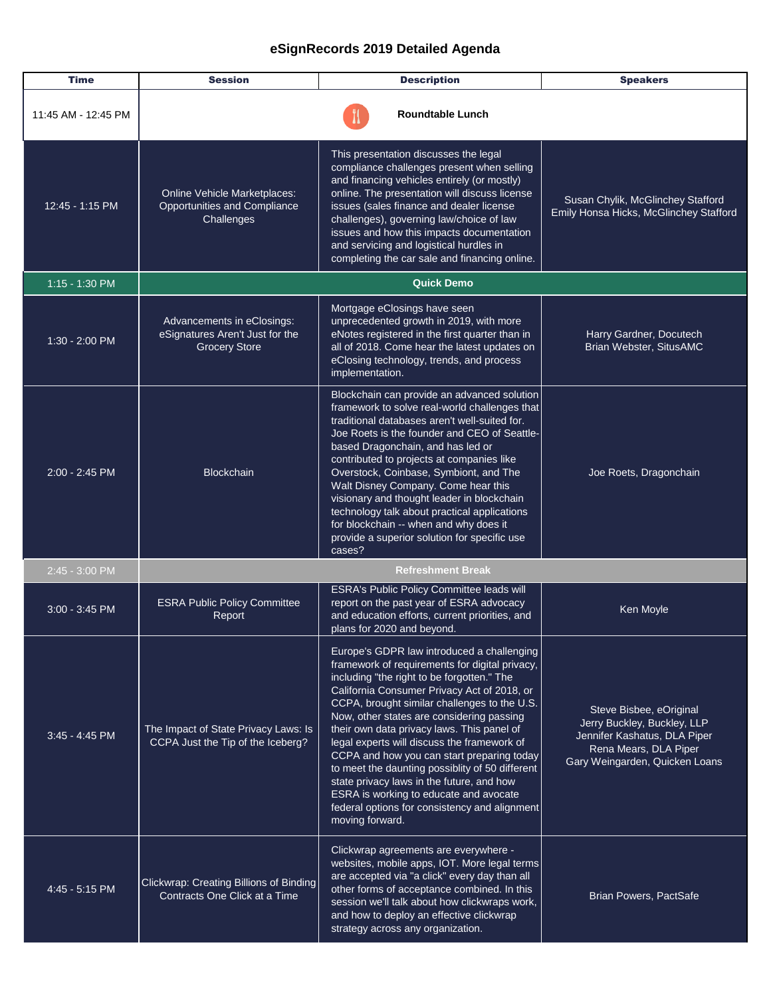| <b>Time</b>         | <b>Session</b>                                                                        | <b>Description</b>                                                                                                                                                                                                                                                                                                                                                                                                                                                                                                                                                                                                                              | <b>Speakers</b>                                                                                                                                   |
|---------------------|---------------------------------------------------------------------------------------|-------------------------------------------------------------------------------------------------------------------------------------------------------------------------------------------------------------------------------------------------------------------------------------------------------------------------------------------------------------------------------------------------------------------------------------------------------------------------------------------------------------------------------------------------------------------------------------------------------------------------------------------------|---------------------------------------------------------------------------------------------------------------------------------------------------|
| 11:45 AM - 12:45 PM |                                                                                       | <b>Roundtable Lunch</b>                                                                                                                                                                                                                                                                                                                                                                                                                                                                                                                                                                                                                         |                                                                                                                                                   |
| 12:45 - 1:15 PM     | Online Vehicle Marketplaces:<br>Opportunities and Compliance<br>Challenges            | This presentation discusses the legal<br>compliance challenges present when selling<br>and financing vehicles entirely (or mostly)<br>online. The presentation will discuss license<br>issues (sales finance and dealer license<br>challenges), governing law/choice of law<br>issues and how this impacts documentation<br>and servicing and logistical hurdles in<br>completing the car sale and financing online.                                                                                                                                                                                                                            | Susan Chylik, McGlinchey Stafford<br>Emily Honsa Hicks, McGlinchey Stafford                                                                       |
| $1:15 - 1:30$ PM    | <b>Quick Demo</b>                                                                     |                                                                                                                                                                                                                                                                                                                                                                                                                                                                                                                                                                                                                                                 |                                                                                                                                                   |
| $1:30 - 2:00$ PM    | Advancements in eClosings:<br>eSignatures Aren't Just for the<br><b>Grocery Store</b> | Mortgage eClosings have seen<br>unprecedented growth in 2019, with more<br>eNotes registered in the first quarter than in<br>all of 2018. Come hear the latest updates on<br>eClosing technology, trends, and process<br>implementation.                                                                                                                                                                                                                                                                                                                                                                                                        | Harry Gardner, Docutech<br>Brian Webster, SitusAMC                                                                                                |
| 2:00 - 2:45 PM      | <b>Blockchain</b>                                                                     | Blockchain can provide an advanced solution<br>framework to solve real-world challenges that<br>traditional databases aren't well-suited for.<br>Joe Roets is the founder and CEO of Seattle-<br>based Dragonchain, and has led or<br>contributed to projects at companies like<br>Overstock, Coinbase, Symbiont, and The<br>Walt Disney Company. Come hear this<br>visionary and thought leader in blockchain<br>technology talk about practical applications<br>for blockchain -- when and why does it<br>provide a superior solution for specific use<br>cases?                                                                              | Joe Roets, Dragonchain                                                                                                                            |
| 2:45 - 3:00 PM      |                                                                                       | <b>Refreshment Break</b>                                                                                                                                                                                                                                                                                                                                                                                                                                                                                                                                                                                                                        |                                                                                                                                                   |
| $3:00 - 3:45$ PM    | <b>ESRA Public Policy Committee</b><br>Report                                         | ESRA's Public Policy Committee leads will<br>report on the past year of ESRA advocacy<br>and education efforts, current priorities, and<br>plans for 2020 and beyond.                                                                                                                                                                                                                                                                                                                                                                                                                                                                           | Ken Moyle                                                                                                                                         |
| $3:45 - 4:45$ PM    | The Impact of State Privacy Laws: Is<br>CCPA Just the Tip of the Iceberg?             | Europe's GDPR law introduced a challenging<br>framework of requirements for digital privacy,<br>including "the right to be forgotten." The<br>California Consumer Privacy Act of 2018, or<br>CCPA, brought similar challenges to the U.S.<br>Now, other states are considering passing<br>their own data privacy laws. This panel of<br>legal experts will discuss the framework of<br>CCPA and how you can start preparing today<br>to meet the daunting possiblity of 50 different<br>state privacy laws in the future, and how<br>ESRA is working to educate and avocate<br>federal options for consistency and alignment<br>moving forward. | Steve Bisbee, eOriginal<br>Jerry Buckley, Buckley, LLP<br>Jennifer Kashatus, DLA Piper<br>Rena Mears, DLA Piper<br>Gary Weingarden, Quicken Loans |
| 4:45 - 5:15 PM      | Clickwrap: Creating Billions of Binding<br>Contracts One Click at a Time              | Clickwrap agreements are everywhere -<br>websites, mobile apps, IOT. More legal terms<br>are accepted via "a click" every day than all<br>other forms of acceptance combined. In this<br>session we'll talk about how clickwraps work,<br>and how to deploy an effective clickwrap<br>strategy across any organization.                                                                                                                                                                                                                                                                                                                         | <b>Brian Powers, PactSafe</b>                                                                                                                     |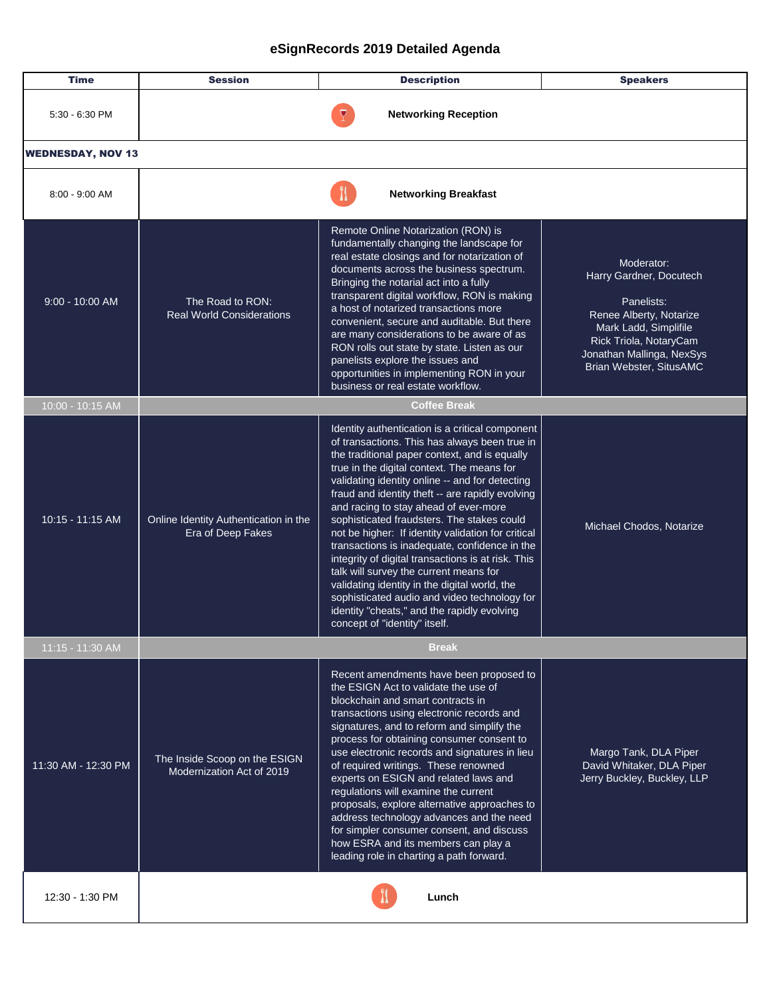| <b>Time</b>              | <b>Session</b>                                             | <b>Description</b>                                                                                                                                                                                                                                                                                                                                                                                                                                                                                                                                                                                                                                                                                                                                                                    | <b>Speakers</b>                                                                                                                                                                           |
|--------------------------|------------------------------------------------------------|---------------------------------------------------------------------------------------------------------------------------------------------------------------------------------------------------------------------------------------------------------------------------------------------------------------------------------------------------------------------------------------------------------------------------------------------------------------------------------------------------------------------------------------------------------------------------------------------------------------------------------------------------------------------------------------------------------------------------------------------------------------------------------------|-------------------------------------------------------------------------------------------------------------------------------------------------------------------------------------------|
| 5:30 - 6:30 PM           |                                                            | <b>Networking Reception</b>                                                                                                                                                                                                                                                                                                                                                                                                                                                                                                                                                                                                                                                                                                                                                           |                                                                                                                                                                                           |
| <b>WEDNESDAY, NOV 13</b> |                                                            |                                                                                                                                                                                                                                                                                                                                                                                                                                                                                                                                                                                                                                                                                                                                                                                       |                                                                                                                                                                                           |
| $8:00 - 9:00$ AM         |                                                            | <b>Networking Breakfast</b>                                                                                                                                                                                                                                                                                                                                                                                                                                                                                                                                                                                                                                                                                                                                                           |                                                                                                                                                                                           |
| $9:00 - 10:00$ AM        | The Road to RON:<br><b>Real World Considerations</b>       | Remote Online Notarization (RON) is<br>fundamentally changing the landscape for<br>real estate closings and for notarization of<br>documents across the business spectrum.<br>Bringing the notarial act into a fully<br>transparent digital workflow, RON is making<br>a host of notarized transactions more<br>convenient, secure and auditable. But there<br>are many considerations to be aware of as<br>RON rolls out state by state. Listen as our<br>panelists explore the issues and<br>opportunities in implementing RON in your<br>business or real estate workflow.                                                                                                                                                                                                         | Moderator:<br>Harry Gardner, Docutech<br>Panelists:<br>Renee Alberty, Notarize<br>Mark Ladd, Simplifile<br>Rick Triola, NotaryCam<br>Jonathan Mallinga, NexSys<br>Brian Webster, SitusAMC |
| $10:00 - 10:15$ AM       |                                                            | <b>Coffee Break</b>                                                                                                                                                                                                                                                                                                                                                                                                                                                                                                                                                                                                                                                                                                                                                                   |                                                                                                                                                                                           |
| 10:15 - 11:15 AM         | Online Identity Authentication in the<br>Era of Deep Fakes | Identity authentication is a critical component<br>of transactions. This has always been true in<br>the traditional paper context, and is equally<br>true in the digital context. The means for<br>validating identity online -- and for detecting<br>fraud and identity theft -- are rapidly evolving<br>and racing to stay ahead of ever-more<br>sophisticated fraudsters. The stakes could<br>not be higher: If identity validation for critical<br>transactions is inadequate, confidence in the<br>integrity of digital transactions is at risk. This<br>talk will survey the current means for<br>validating identity in the digital world, the<br>sophisticated audio and video technology for<br>identity "cheats," and the rapidly evolving<br>concept of "identity" itself. | Michael Chodos, Notarize                                                                                                                                                                  |
| 11:15 - 11:30 AM         |                                                            | <b>Break</b>                                                                                                                                                                                                                                                                                                                                                                                                                                                                                                                                                                                                                                                                                                                                                                          |                                                                                                                                                                                           |
| 11:30 AM - 12:30 PM      | The Inside Scoop on the ESIGN<br>Modernization Act of 2019 | Recent amendments have been proposed to<br>the ESIGN Act to validate the use of<br>blockchain and smart contracts in<br>transactions using electronic records and<br>signatures, and to reform and simplify the<br>process for obtaining consumer consent to<br>use electronic records and signatures in lieu<br>of required writings. These renowned<br>experts on ESIGN and related laws and<br>regulations will examine the current<br>proposals, explore alternative approaches to<br>address technology advances and the need<br>for simpler consumer consent, and discuss<br>how ESRA and its members can play a<br>leading role in charting a path forward.                                                                                                                    | Margo Tank, DLA Piper<br>David Whitaker, DLA Piper<br>Jerry Buckley, Buckley, LLP                                                                                                         |
| 12:30 - 1:30 PM          |                                                            | Lunch                                                                                                                                                                                                                                                                                                                                                                                                                                                                                                                                                                                                                                                                                                                                                                                 |                                                                                                                                                                                           |